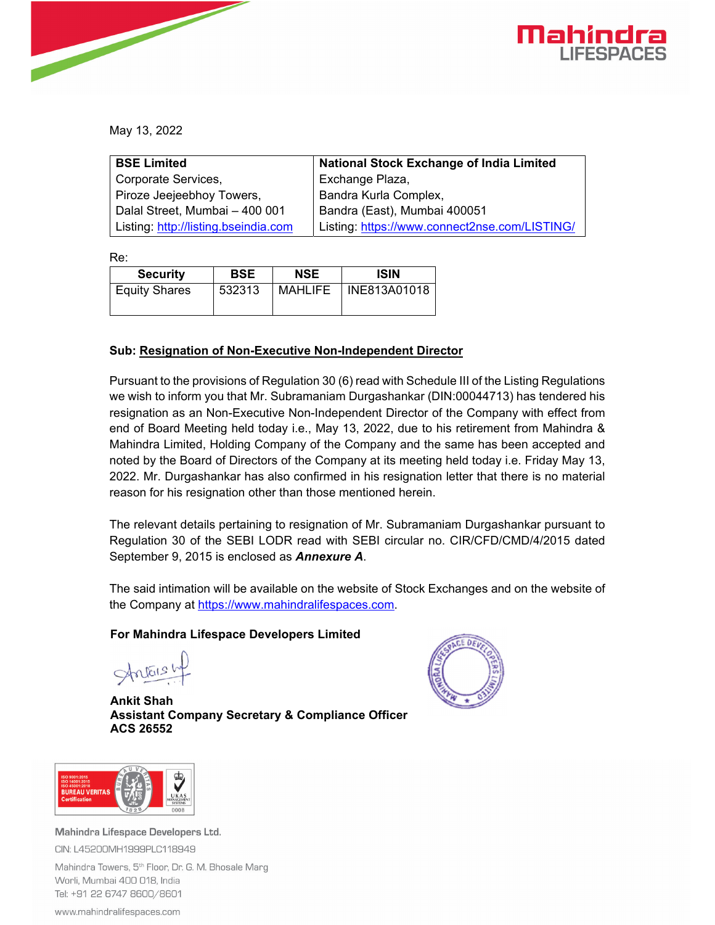

May 13, 2022

| <b>BSE Limited</b>                   | <b>National Stock Exchange of India Limited</b> |
|--------------------------------------|-------------------------------------------------|
| Corporate Services,                  | Exchange Plaza,                                 |
| Piroze Jeejeebhoy Towers,            | Bandra Kurla Complex,                           |
| Dalal Street, Mumbai - 400 001       | Bandra (East), Mumbai 400051                    |
| Listing: http://listing.bseindia.com | Listing: https://www.connect2nse.com/LISTING/   |

Re:

| <b>Security</b>      | <b>BSE</b> | <b>NSE</b> | <b>ISIN</b>  |
|----------------------|------------|------------|--------------|
| <b>Equity Shares</b> | 532313     | MAHLIFE    | INE813A01018 |

## **Sub: Resignation of Non-Executive Non-Independent Director**

Pursuant to the provisions of Regulation 30 (6) read with Schedule III of the Listing Regulations we wish to inform you that Mr. Subramaniam Durgashankar (DIN:00044713) has tendered his resignation as an Non-Executive Non-Independent Director of the Company with effect from end of Board Meeting held today i.e., May 13, 2022, due to his retirement from Mahindra & Mahindra Limited, Holding Company of the Company and the same has been accepted and noted by the Board of Directors of the Company at its meeting held today i.e. Friday May 13, 2022. Mr. Durgashankar has also confirmed in his resignation letter that there is no material reason for his resignation other than those mentioned herein.

The relevant details pertaining to resignation of Mr. Subramaniam Durgashankar pursuant to Regulation 30 of the SEBI LODR read with SEBI circular no. CIR/CFD/CMD/4/2015 dated September 9, 2015 is enclosed as *Annexure A*.

The said intimation will be available on the website of Stock Exchanges and on the website of the Company at https://www.mahindralifespaces.com.

## **For Mahindra Lifespace Developers Limited**

Antonship

**Ankit Shah Assistant Company Secretary & Compliance Officer ACS 26552** 





Mahindra Lifespace Developers Ltd. CIN: L45200MH1999PLC118949 Mahindra Towers, 5<sup>th</sup> Floor, Dr. G. M. Bhosale Marg

Worli, Mumbai 400 018, India Tel: +91 22 6747 8600/8601

www.mahindralifespaces.com